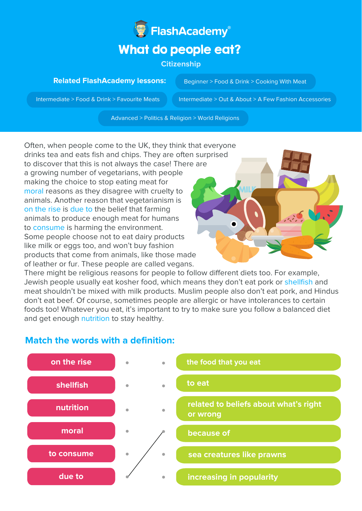

## **Citizenship**

## **Related FlashAcademy lessons:**

Beginner > Food & Drink > Cooking With Meat

Intermediate > Food & Drink > Favourite Meats Intermediate > Out & About > A Few Fashion Accessories

Advanced > Politics & Religion > World Religions

Often, when people come to the UK, they think that everyone drinks tea and eats fish and chips. They are often surprised to discover that this is not always the case! There are a growing number of vegetarians, with people making the choice to stop eating meat for moral reasons as they disagree with cruelty to animals. Another reason that vegetarianism is on the rise is due to the belief that farming animals to produce enough meat for humans to consume is harming the environment. Some people choose not to eat dairy products like milk or eggs too, and won't buy fashion products that come from animals, like those made of leather or fur. These people are called vegans.



There might be religious reasons for people to follow different diets too. For example, Jewish people usually eat kosher food, which means they don't eat pork or shellfish and meat shouldn't be mixed with milk products. Muslim people also don't eat pork, and Hindus don't eat beef. Of course, sometimes people are allergic or have intolerances to certain foods too! Whatever you eat, it's important to try to make sure you follow a balanced diet and get enough nutrition to stay healthy.



## **Match the words with a definition:**